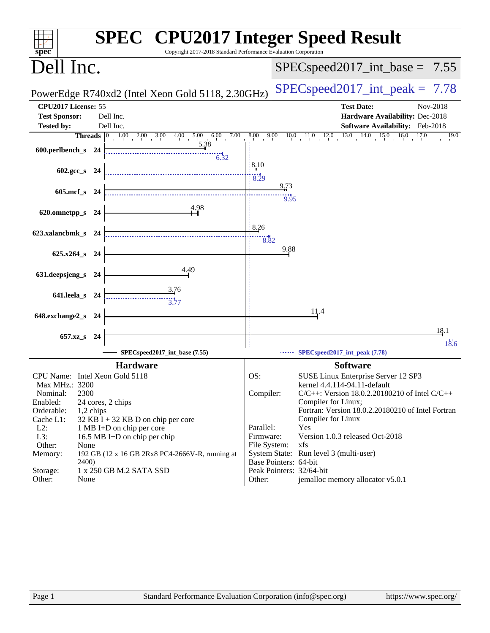| spec <sup>®</sup>                           | <b>SPEC<sup>®</sup></b> CPU2017 Integer Speed Result<br>Copyright 2017-2018 Standard Performance Evaluation Corporation                                          |                                      |                                                                           |
|---------------------------------------------|------------------------------------------------------------------------------------------------------------------------------------------------------------------|--------------------------------------|---------------------------------------------------------------------------|
| Dell Inc.                                   |                                                                                                                                                                  |                                      | $SPEC speed2017\_int\_base = 7.55$                                        |
|                                             | PowerEdge R740xd2 (Intel Xeon Gold 5118, 2.30GHz)                                                                                                                |                                      | $SPEC speed2017\_int\_peak = 7.78$                                        |
| CPU2017 License: 55<br><b>Test Sponsor:</b> | Dell Inc.                                                                                                                                                        |                                      | <b>Test Date:</b><br>Nov-2018<br>Hardware Availability: Dec-2018          |
| <b>Tested by:</b>                           | Dell Inc.                                                                                                                                                        |                                      | Software Availability: Feb-2018                                           |
|                                             | <b>Threads</b> $\begin{bmatrix} 0 & 1.00 & 2.00 & 3.00 & 4.00 & 5.00 & 6.00 & 7.00 & 8.00 & 9.00 & 10.0 & 11.0 & 12.0 & 13.0 & 14.0 & 15.0 & 16.0 \end{bmatrix}$ |                                      | 17.0<br>19.0                                                              |
| 600.perlbench_s 24                          | 5.38<br>$\frac{1}{6.32}$                                                                                                                                         |                                      |                                                                           |
| 602.gcc s $24$                              |                                                                                                                                                                  | $\frac{1}{2}$ 8.10<br>$\ddot{8}$ .29 |                                                                           |
| 605.mcf s 24                                |                                                                                                                                                                  |                                      | 9,73<br>9.95                                                              |
| 620.omnetpp_s 24                            | 4.98                                                                                                                                                             |                                      |                                                                           |
| 623.xalancbmk_s 24                          |                                                                                                                                                                  | 8,26<br>8.82                         |                                                                           |
| 625.x264_s 24                               |                                                                                                                                                                  |                                      | 9.88                                                                      |
| 631.deepsjeng_s 24                          | 4.49                                                                                                                                                             |                                      |                                                                           |
| 641.leela_s 24                              | 3.76<br>$\frac{11}{3.77}$                                                                                                                                        |                                      |                                                                           |
| 648.exchange2_s 24                          |                                                                                                                                                                  |                                      | 11,4                                                                      |
|                                             |                                                                                                                                                                  |                                      | 18.1                                                                      |
| 657.xz_s 24                                 |                                                                                                                                                                  |                                      | 18.6                                                                      |
|                                             | SPECspeed2017_int_base (7.55)                                                                                                                                    |                                      | SPECspeed2017_int_peak (7.78)                                             |
|                                             | <b>Hardware</b>                                                                                                                                                  |                                      | <b>Software</b>                                                           |
| CPU Name: Intel Xeon Gold 5118              |                                                                                                                                                                  | OS:                                  | SUSE Linux Enterprise Server 12 SP3                                       |
| Max MHz.: 3200                              |                                                                                                                                                                  |                                      | kernel 4.4.114-94.11-default                                              |
| 2300<br>Nominal:<br>Enabled:                | 24 cores, 2 chips                                                                                                                                                | Compiler:                            | $C/C++$ : Version 18.0.2.20180210 of Intel $C/C++$<br>Compiler for Linux; |
| Orderable:<br>1,2 chips                     |                                                                                                                                                                  |                                      | Fortran: Version 18.0.2.20180210 of Intel Fortran                         |
| Cache L1:                                   | 32 KB I + 32 KB D on chip per core                                                                                                                               |                                      | Compiler for Linux                                                        |
| $L2$ :<br>L3:                               | 1 MB I+D on chip per core<br>16.5 MB I+D on chip per chip                                                                                                        | Parallel:<br>Firmware:               | Yes<br>Version 1.0.3 released Oct-2018                                    |
| Other:<br>None                              |                                                                                                                                                                  | File System:                         | xfs                                                                       |
| Memory:                                     | 192 GB (12 x 16 GB 2Rx8 PC4-2666V-R, running at                                                                                                                  |                                      | System State: Run level 3 (multi-user)                                    |
| <b>2400</b> )                               | 1 x 250 GB M.2 SATA SSD                                                                                                                                          |                                      | Base Pointers: 64-bit                                                     |
| Storage:<br>Other:<br>None                  |                                                                                                                                                                  | Other:                               | Peak Pointers: 32/64-bit<br>jemalloc memory allocator v5.0.1              |
|                                             |                                                                                                                                                                  |                                      |                                                                           |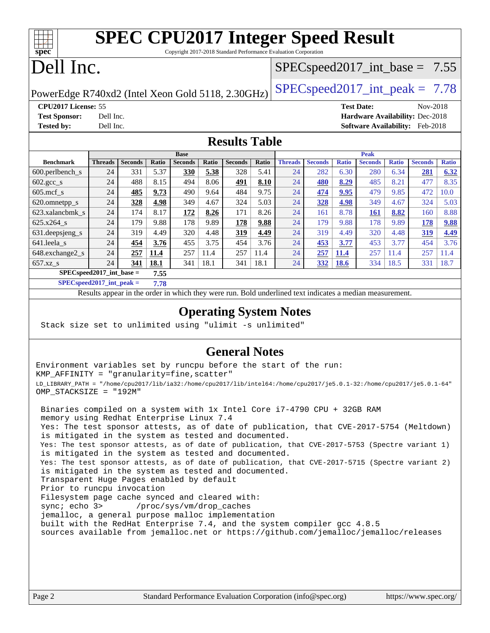| s<br>E<br>n<br>L<br>c |  |  |  |  |  |  |  |
|-----------------------|--|--|--|--|--|--|--|

# **[SPEC CPU2017 Integer Speed Result](http://www.spec.org/auto/cpu2017/Docs/result-fields.html#SPECCPU2017IntegerSpeedResult)**

Copyright 2017-2018 Standard Performance Evaluation Corporation

# Dell Inc.

### $SPECspeed2017\_int\_base = 7.55$

PowerEdge R740xd2 (Intel Xeon Gold 5118, 2.30GHz)  $\left|$  [SPECspeed2017\\_int\\_peak =](http://www.spec.org/auto/cpu2017/Docs/result-fields.html#SPECspeed2017intpeak) 7.78

**[CPU2017 License:](http://www.spec.org/auto/cpu2017/Docs/result-fields.html#CPU2017License)** 55 **[Test Date:](http://www.spec.org/auto/cpu2017/Docs/result-fields.html#TestDate)** Nov-2018 **[Test Sponsor:](http://www.spec.org/auto/cpu2017/Docs/result-fields.html#TestSponsor)** Dell Inc. **[Hardware Availability:](http://www.spec.org/auto/cpu2017/Docs/result-fields.html#HardwareAvailability)** Dec-2018 **[Tested by:](http://www.spec.org/auto/cpu2017/Docs/result-fields.html#Testedby)** Dell Inc. **[Software Availability:](http://www.spec.org/auto/cpu2017/Docs/result-fields.html#SoftwareAvailability)** Feb-2018

### **[Results Table](http://www.spec.org/auto/cpu2017/Docs/result-fields.html#ResultsTable)**

|                                     | <b>Base</b>    |                |              |                |       | <b>Peak</b>    |       |                |                |              |                |              |                |              |
|-------------------------------------|----------------|----------------|--------------|----------------|-------|----------------|-------|----------------|----------------|--------------|----------------|--------------|----------------|--------------|
| <b>Benchmark</b>                    | <b>Threads</b> | <b>Seconds</b> | <b>Ratio</b> | <b>Seconds</b> | Ratio | <b>Seconds</b> | Ratio | <b>Threads</b> | <b>Seconds</b> | <b>Ratio</b> | <b>Seconds</b> | <b>Ratio</b> | <b>Seconds</b> | <b>Ratio</b> |
| 600.perlbench s                     | 24             | 331            | 5.37         | 330            | 5.38  | 328            | 5.41  | 24             | 282            | 6.30         | 280            | 6.34         | 281            | 6.32         |
| $602.\text{gcc}\_\text{s}$          | 24             | 488            | 8.15         | 494            | 8.06  | 491            | 8.10  | 24             | 480            | 8.29         | 485            | 8.21         | 477            | 8.35         |
| $605$ .mcf s                        | 24             | 485            | 9.73         | 490            | 9.64  | 484            | 9.75  | 24             | 474            | 9.95         | 479            | 9.85         | 472            | 10.0         |
| 620.omnetpp_s                       | 24             | 328            | 4.98         | 349            | 4.67  | 324            | 5.03  | 24             | 328            | 4.98         | 349            | 4.67         | 324            | 5.03         |
| 623.xalancbmk s                     | 24             | 174            | 8.17         | <u>172</u>     | 8.26  | 171            | 8.26  | 24             | 161            | 8.78         | <u>161</u>     | 8.82         | 160            | 8.88         |
| 625.x264 s                          | 24             | 179            | 9.88         | 178            | 9.89  | 178            | 9.88  | 24             | 179            | 9.88         | 178            | 9.89         | 178            | 9.88         |
| 631.deepsjeng_s                     | 24             | 319            | 4.49         | 320            | 4.48  | 319            | 4.49  | 24             | 319            | 4.49         | 320            | 4.48         | 319            | 4.49         |
| 641.leela s                         | 24             | 454            | 3.76         | 455            | 3.75  | 454            | 3.76  | 24             | 453            | 3.77         | 453            | 3.77         | 454            | 3.76         |
| 648.exchange2_s                     | 24             | 257            | 11.4         | 257            | 11.4  | 257            | 11.4  | 24             | 257            | 11.4         | 257            | 11.4         | 257            | 11.4         |
| $657.xz$ <sub>S</sub>               | 24             | 341            | 18.1         | 341            | 18.1  | 341            | 18.1  | 24             | 332            | <b>18.6</b>  | 334            | 18.5         | 331            | 18.7         |
| $SPEC speed2017$ int base =<br>7.55 |                |                |              |                |       |                |       |                |                |              |                |              |                |              |

**[SPECspeed2017\\_int\\_peak =](http://www.spec.org/auto/cpu2017/Docs/result-fields.html#SPECspeed2017intpeak) 7.78**

Results appear in the [order in which they were run.](http://www.spec.org/auto/cpu2017/Docs/result-fields.html#RunOrder) Bold underlined text [indicates a median measurement](http://www.spec.org/auto/cpu2017/Docs/result-fields.html#Median).

### **[Operating System Notes](http://www.spec.org/auto/cpu2017/Docs/result-fields.html#OperatingSystemNotes)**

Stack size set to unlimited using "ulimit -s unlimited"

### **[General Notes](http://www.spec.org/auto/cpu2017/Docs/result-fields.html#GeneralNotes)**

Environment variables set by runcpu before the start of the run: KMP\_AFFINITY = "granularity=fine,scatter" LD\_LIBRARY\_PATH = "/home/cpu2017/lib/ia32:/home/cpu2017/lib/intel64:/home/cpu2017/je5.0.1-32:/home/cpu2017/je5.0.1-64" OMP\_STACKSIZE = "192M"

 Binaries compiled on a system with 1x Intel Core i7-4790 CPU + 32GB RAM memory using Redhat Enterprise Linux 7.4 Yes: The test sponsor attests, as of date of publication, that CVE-2017-5754 (Meltdown) is mitigated in the system as tested and documented. Yes: The test sponsor attests, as of date of publication, that CVE-2017-5753 (Spectre variant 1) is mitigated in the system as tested and documented. Yes: The test sponsor attests, as of date of publication, that CVE-2017-5715 (Spectre variant 2) is mitigated in the system as tested and documented. Transparent Huge Pages enabled by default Prior to runcpu invocation Filesystem page cache synced and cleared with: sync; echo 3> /proc/sys/vm/drop\_caches jemalloc, a general purpose malloc implementation built with the RedHat Enterprise 7.4, and the system compiler gcc 4.8.5 sources available from jemalloc.net or <https://github.com/jemalloc/jemalloc/releases>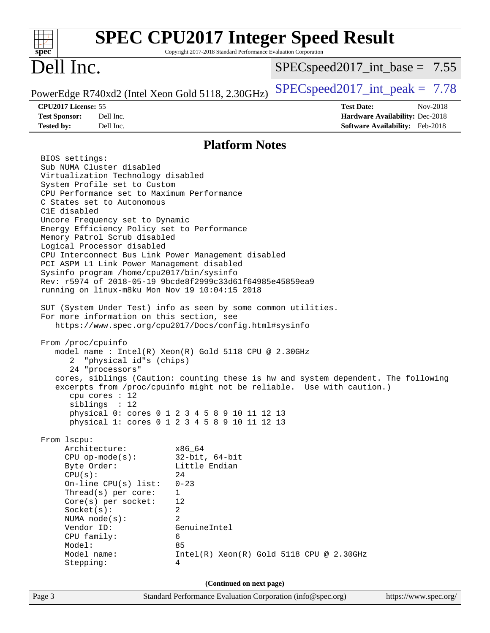|                                                                                                                                                                                                                                                                                                                                                                                                                                                                                                                                                                                                                                                                                                                                                                                                                                                                                                                                                                                                                                                                                                                                                                                                                                                                                                                                                                                                                                                                                                                | Copyright 2017-2018 Standard Performance Evaluation Corporation                                                                                              | <b>SPEC CPU2017 Integer Speed Result</b> |                                        |
|----------------------------------------------------------------------------------------------------------------------------------------------------------------------------------------------------------------------------------------------------------------------------------------------------------------------------------------------------------------------------------------------------------------------------------------------------------------------------------------------------------------------------------------------------------------------------------------------------------------------------------------------------------------------------------------------------------------------------------------------------------------------------------------------------------------------------------------------------------------------------------------------------------------------------------------------------------------------------------------------------------------------------------------------------------------------------------------------------------------------------------------------------------------------------------------------------------------------------------------------------------------------------------------------------------------------------------------------------------------------------------------------------------------------------------------------------------------------------------------------------------------|--------------------------------------------------------------------------------------------------------------------------------------------------------------|------------------------------------------|----------------------------------------|
| $spec^*$<br>Dell Inc.                                                                                                                                                                                                                                                                                                                                                                                                                                                                                                                                                                                                                                                                                                                                                                                                                                                                                                                                                                                                                                                                                                                                                                                                                                                                                                                                                                                                                                                                                          |                                                                                                                                                              | $SPEC speed2017\_int\_base = 7.55$       |                                        |
|                                                                                                                                                                                                                                                                                                                                                                                                                                                                                                                                                                                                                                                                                                                                                                                                                                                                                                                                                                                                                                                                                                                                                                                                                                                                                                                                                                                                                                                                                                                |                                                                                                                                                              | $SPEC speed2017\_int\_peak = 7.78$       |                                        |
| PowerEdge R740xd2 (Intel Xeon Gold 5118, 2.30GHz)<br>CPU2017 License: 55                                                                                                                                                                                                                                                                                                                                                                                                                                                                                                                                                                                                                                                                                                                                                                                                                                                                                                                                                                                                                                                                                                                                                                                                                                                                                                                                                                                                                                       |                                                                                                                                                              | <b>Test Date:</b>                        | Nov-2018                               |
| <b>Test Sponsor:</b><br>Dell Inc.                                                                                                                                                                                                                                                                                                                                                                                                                                                                                                                                                                                                                                                                                                                                                                                                                                                                                                                                                                                                                                                                                                                                                                                                                                                                                                                                                                                                                                                                              |                                                                                                                                                              |                                          | Hardware Availability: Dec-2018        |
| <b>Tested by:</b><br>Dell Inc.                                                                                                                                                                                                                                                                                                                                                                                                                                                                                                                                                                                                                                                                                                                                                                                                                                                                                                                                                                                                                                                                                                                                                                                                                                                                                                                                                                                                                                                                                 |                                                                                                                                                              |                                          | <b>Software Availability:</b> Feb-2018 |
|                                                                                                                                                                                                                                                                                                                                                                                                                                                                                                                                                                                                                                                                                                                                                                                                                                                                                                                                                                                                                                                                                                                                                                                                                                                                                                                                                                                                                                                                                                                | <b>Platform Notes</b>                                                                                                                                        |                                          |                                        |
| BIOS settings:<br>Sub NUMA Cluster disabled<br>Virtualization Technology disabled<br>System Profile set to Custom<br>CPU Performance set to Maximum Performance<br>C States set to Autonomous<br>C1E disabled<br>Uncore Frequency set to Dynamic<br>Energy Efficiency Policy set to Performance<br>Memory Patrol Scrub disabled<br>Logical Processor disabled<br>CPU Interconnect Bus Link Power Management disabled<br>PCI ASPM L1 Link Power Management disabled<br>Sysinfo program /home/cpu2017/bin/sysinfo<br>Rev: r5974 of 2018-05-19 9bcde8f2999c33d61f64985e45859ea9<br>running on linux-m8ku Mon Nov 19 10:04:15 2018<br>SUT (System Under Test) info as seen by some common utilities.<br>For more information on this section, see<br>https://www.spec.org/cpu2017/Docs/config.html#sysinfo<br>From /proc/cpuinfo<br>model name : Intel(R) Xeon(R) Gold 5118 CPU @ 2.30GHz<br>"physical id"s (chips)<br>2<br>24 "processors"<br>cores, siblings (Caution: counting these is hw and system dependent. The following<br>excerpts from /proc/cpuinfo might not be reliable. Use with caution.)<br>cpu cores $: 12$<br>siblings : 12<br>physical 0: cores 0 1 2 3 4 5 8 9 10 11 12 13<br>physical 1: cores 0 1 2 3 4 5 8 9 10 11 12 13<br>From 1scpu:<br>Architecture:<br>$CPU$ op-mode( $s$ ):<br>Byte Order:<br>CPU(s):<br>On-line CPU $(s)$ list:<br>Thread(s) per core:<br>Core(s) per socket:<br>Socket(s):<br>NUMA $node(s)$ :<br>Vendor ID:<br>CPU family:<br>Model:<br>Model name:<br>Stepping: | x86_64<br>$32$ -bit, $64$ -bit<br>Little Endian<br>24<br>$0 - 23$<br>$\mathbf 1$<br>12<br>2<br>2<br>GenuineIntel<br>6<br>85<br>4<br>(Continued on next page) | Intel(R) Xeon(R) Gold 5118 CPU @ 2.30GHz |                                        |
| Page 3                                                                                                                                                                                                                                                                                                                                                                                                                                                                                                                                                                                                                                                                                                                                                                                                                                                                                                                                                                                                                                                                                                                                                                                                                                                                                                                                                                                                                                                                                                         | Standard Performance Evaluation Corporation (info@spec.org)                                                                                                  |                                          | https://www.spec.org/                  |
|                                                                                                                                                                                                                                                                                                                                                                                                                                                                                                                                                                                                                                                                                                                                                                                                                                                                                                                                                                                                                                                                                                                                                                                                                                                                                                                                                                                                                                                                                                                |                                                                                                                                                              |                                          |                                        |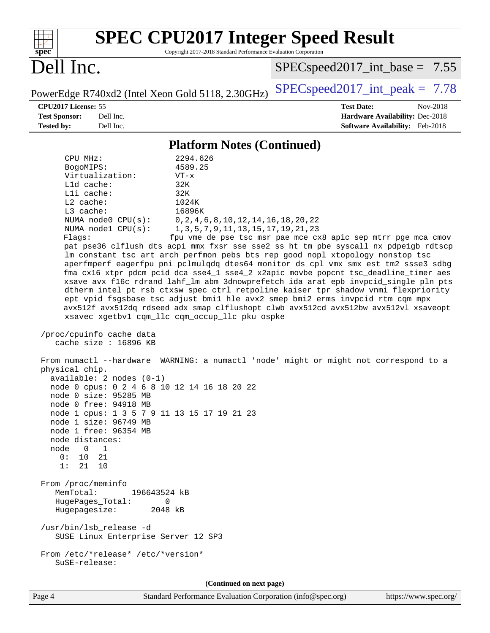| <b>SPEC CPU2017 Integer Speed Result</b><br>Copyright 2017-2018 Standard Performance Evaluation Corporation<br>spec <sup>®</sup>                                            |                                                                    |  |  |  |  |  |  |  |
|-----------------------------------------------------------------------------------------------------------------------------------------------------------------------------|--------------------------------------------------------------------|--|--|--|--|--|--|--|
| Dell Inc.                                                                                                                                                                   | $SPEC speed2017\_int\_base = 7.55$                                 |  |  |  |  |  |  |  |
| PowerEdge R740xd2 (Intel Xeon Gold 5118, 2.30GHz)                                                                                                                           | $SPEC speed2017\_int\_peak = 7.78$                                 |  |  |  |  |  |  |  |
| CPU2017 License: 55                                                                                                                                                         | <b>Test Date:</b><br>Nov-2018                                      |  |  |  |  |  |  |  |
| <b>Test Sponsor:</b><br>Dell Inc.<br>Dell Inc.<br><b>Tested by:</b>                                                                                                         | Hardware Availability: Dec-2018<br>Software Availability: Feb-2018 |  |  |  |  |  |  |  |
|                                                                                                                                                                             |                                                                    |  |  |  |  |  |  |  |
| <b>Platform Notes (Continued)</b>                                                                                                                                           |                                                                    |  |  |  |  |  |  |  |
| CPU MHz:<br>2294.626<br>BogoMIPS:<br>4589.25                                                                                                                                |                                                                    |  |  |  |  |  |  |  |
| Virtualization:<br>$VT - x$                                                                                                                                                 |                                                                    |  |  |  |  |  |  |  |
| Lld cache:<br>32K                                                                                                                                                           |                                                                    |  |  |  |  |  |  |  |
| Lli cache:<br>32K<br>$L2$ cache:<br>1024K                                                                                                                                   |                                                                    |  |  |  |  |  |  |  |
| $L3$ cache:<br>16896K                                                                                                                                                       |                                                                    |  |  |  |  |  |  |  |
| NUMA node0 CPU(s):<br>$0, 2, 4, 6, 8, 10, 12, 14, 16, 18, 20, 22$                                                                                                           |                                                                    |  |  |  |  |  |  |  |
| NUMA nodel CPU(s):<br>1, 3, 5, 7, 9, 11, 13, 15, 17, 19, 21, 23                                                                                                             |                                                                    |  |  |  |  |  |  |  |
| Flags:<br>pat pse36 clflush dts acpi mmx fxsr sse sse2 ss ht tm pbe syscall nx pdpelgb rdtscp                                                                               | fpu vme de pse tsc msr pae mce cx8 apic sep mtrr pge mca cmov      |  |  |  |  |  |  |  |
| lm constant_tsc art arch_perfmon pebs bts rep_good nopl xtopology nonstop_tsc                                                                                               |                                                                    |  |  |  |  |  |  |  |
| aperfmperf eagerfpu pni pclmulqdq dtes64 monitor ds_cpl vmx smx est tm2 ssse3 sdbg                                                                                          |                                                                    |  |  |  |  |  |  |  |
| fma cx16 xtpr pdcm pcid dca sse4_1 sse4_2 x2apic movbe popcnt tsc_deadline_timer aes<br>xsave avx f16c rdrand lahf_lm abm 3dnowprefetch ida arat epb invpcid_single pln pts |                                                                    |  |  |  |  |  |  |  |
| dtherm intel_pt rsb_ctxsw spec_ctrl retpoline kaiser tpr_shadow vnmi flexpriority                                                                                           |                                                                    |  |  |  |  |  |  |  |
| ept vpid fsgsbase tsc_adjust bmil hle avx2 smep bmi2 erms invpcid rtm cqm mpx                                                                                               |                                                                    |  |  |  |  |  |  |  |
| avx512f avx512dq rdseed adx smap clflushopt clwb avx512cd avx512bw avx512vl xsaveopt<br>xsavec xgetbv1 cqm_llc cqm_occup_llc pku ospke                                      |                                                                    |  |  |  |  |  |  |  |
|                                                                                                                                                                             |                                                                    |  |  |  |  |  |  |  |
| /proc/cpuinfo cache data<br>cache size : 16896 KB                                                                                                                           |                                                                    |  |  |  |  |  |  |  |
| From numactl --hardware WARNING: a numactl 'node' might or might not correspond to a                                                                                        |                                                                    |  |  |  |  |  |  |  |
| physical chip.                                                                                                                                                              |                                                                    |  |  |  |  |  |  |  |
| $available: 2 nodes (0-1)$<br>node 0 cpus: 0 2 4 6 8 10 12 14 16 18 20 22                                                                                                   |                                                                    |  |  |  |  |  |  |  |
| node 0 size: 95285 MB                                                                                                                                                       |                                                                    |  |  |  |  |  |  |  |
| node 0 free: 94918 MB                                                                                                                                                       |                                                                    |  |  |  |  |  |  |  |
| node 1 cpus: 1 3 5 7 9 11 13 15 17 19 21 23                                                                                                                                 |                                                                    |  |  |  |  |  |  |  |
| node 1 size: 96749 MB<br>node 1 free: 96354 MB                                                                                                                              |                                                                    |  |  |  |  |  |  |  |
| node distances:                                                                                                                                                             |                                                                    |  |  |  |  |  |  |  |
| node<br>$\overline{0}$<br>$\overline{1}$                                                                                                                                    |                                                                    |  |  |  |  |  |  |  |
| 0:<br>10<br>21<br>1:<br>21 10                                                                                                                                               |                                                                    |  |  |  |  |  |  |  |
|                                                                                                                                                                             |                                                                    |  |  |  |  |  |  |  |
| From /proc/meminfo                                                                                                                                                          |                                                                    |  |  |  |  |  |  |  |
| MemTotal:<br>196643524 kB<br>HugePages_Total:<br>0                                                                                                                          |                                                                    |  |  |  |  |  |  |  |
| Hugepagesize:<br>2048 kB                                                                                                                                                    |                                                                    |  |  |  |  |  |  |  |
|                                                                                                                                                                             |                                                                    |  |  |  |  |  |  |  |
| /usr/bin/lsb_release -d<br>SUSE Linux Enterprise Server 12 SP3                                                                                                              |                                                                    |  |  |  |  |  |  |  |
| From /etc/*release* /etc/*version*<br>SuSE-release:                                                                                                                         |                                                                    |  |  |  |  |  |  |  |
| (Continued on next page)                                                                                                                                                    |                                                                    |  |  |  |  |  |  |  |
|                                                                                                                                                                             |                                                                    |  |  |  |  |  |  |  |

Page 4 Standard Performance Evaluation Corporation [\(info@spec.org\)](mailto:info@spec.org) <https://www.spec.org/>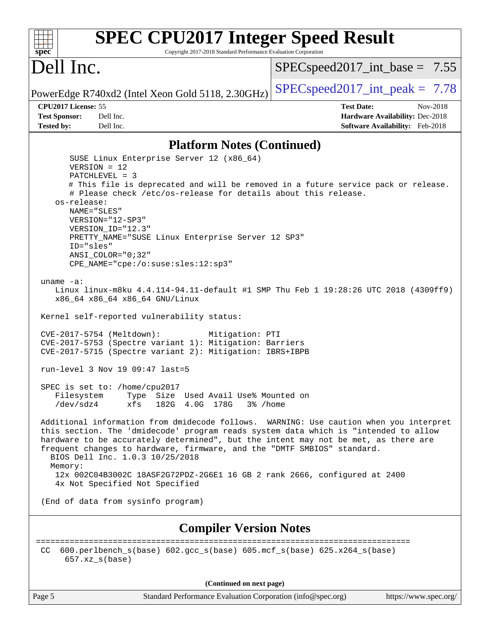### **[spec](http://www.spec.org/) [SPEC CPU2017 Integer Speed Result](http://www.spec.org/auto/cpu2017/Docs/result-fields.html#SPECCPU2017IntegerSpeedResult)** Copyright 2017-2018 Standard Performance Evaluation Corporation Dell Inc. PowerEdge R740xd2 (Intel Xeon Gold 5118, 2.30GHz)  $\left|$  [SPECspeed2017\\_int\\_peak =](http://www.spec.org/auto/cpu2017/Docs/result-fields.html#SPECspeed2017intpeak) 7.78  $SPECspeed2017\_int\_base = 7.55$ **[CPU2017 License:](http://www.spec.org/auto/cpu2017/Docs/result-fields.html#CPU2017License)** 55 **[Test Date:](http://www.spec.org/auto/cpu2017/Docs/result-fields.html#TestDate)** Nov-2018 **[Test Sponsor:](http://www.spec.org/auto/cpu2017/Docs/result-fields.html#TestSponsor)** Dell Inc. **[Hardware Availability:](http://www.spec.org/auto/cpu2017/Docs/result-fields.html#HardwareAvailability)** Dec-2018 **[Tested by:](http://www.spec.org/auto/cpu2017/Docs/result-fields.html#Testedby)** Dell Inc. **[Software Availability:](http://www.spec.org/auto/cpu2017/Docs/result-fields.html#SoftwareAvailability)** Feb-2018 **[Platform Notes \(Continued\)](http://www.spec.org/auto/cpu2017/Docs/result-fields.html#PlatformNotes)** SUSE Linux Enterprise Server 12 (x86\_64) VERSION = 12 PATCHLEVEL = 3 # This file is deprecated and will be removed in a future service pack or release. # Please check /etc/os-release for details about this release. os-release: NAME="SLES" VERSION="12-SP3" VERSION\_ID="12.3" PRETTY\_NAME="SUSE Linux Enterprise Server 12 SP3" ID="sles" ANSI\_COLOR="0;32" CPE\_NAME="cpe:/o:suse:sles:12:sp3" uname -a: Linux linux-m8ku 4.4.114-94.11-default #1 SMP Thu Feb 1 19:28:26 UTC 2018 (4309ff9) x86\_64 x86\_64 x86\_64 GNU/Linux Kernel self-reported vulnerability status: CVE-2017-5754 (Meltdown): Mitigation: PTI CVE-2017-5753 (Spectre variant 1): Mitigation: Barriers CVE-2017-5715 (Spectre variant 2): Mitigation: IBRS+IBPB run-level 3 Nov 19 09:47 last=5 SPEC is set to: /home/cpu2017 Filesystem Type Size Used Avail Use% Mounted on /dev/sdz4 xfs 182G 4.0G 178G 3% /home Additional information from dmidecode follows. WARNING: Use caution when you interpret this section. The 'dmidecode' program reads system data which is "intended to allow hardware to be accurately determined", but the intent may not be met, as there are frequent changes to hardware, firmware, and the "DMTF SMBIOS" standard. BIOS Dell Inc. 1.0.3 10/25/2018 Memory: 12x 002C04B3002C 18ASF2G72PDZ-2G6E1 16 GB 2 rank 2666, configured at 2400 4x Not Specified Not Specified (End of data from sysinfo program) **[Compiler Version Notes](http://www.spec.org/auto/cpu2017/Docs/result-fields.html#CompilerVersionNotes)** ============================================================================== CC 600.perlbench  $s(base)$  602.gcc  $s(base)$  605.mcf  $s(base)$  625.x264  $s(base)$  657.xz\_s(base) **(Continued on next page)**

Page 5 Standard Performance Evaluation Corporation [\(info@spec.org\)](mailto:info@spec.org) <https://www.spec.org/>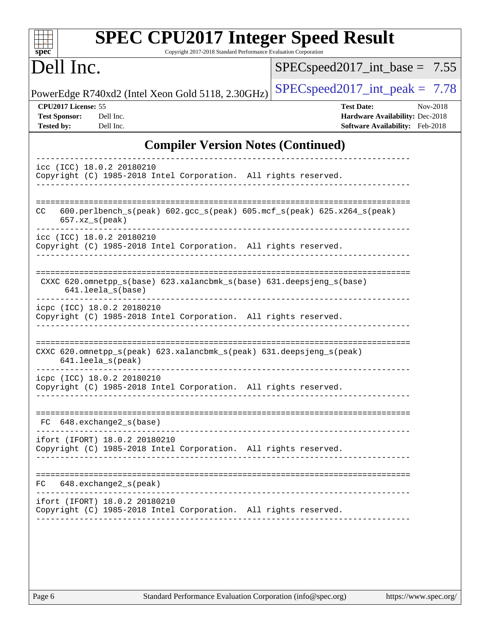| <b>SPEC CPU2017 Integer Speed Result</b><br>Copyright 2017-2018 Standard Performance Evaluation Corporation<br>$spec^*$ |                                                                                                     |
|-------------------------------------------------------------------------------------------------------------------------|-----------------------------------------------------------------------------------------------------|
| Dell Inc.                                                                                                               | $SPEC speed2017\_int\_base = 7.55$                                                                  |
| PowerEdge R740xd2 (Intel Xeon Gold 5118, 2.30GHz)                                                                       | $SPEC speed2017\_int\_peak = 7.78$                                                                  |
| CPU2017 License: 55<br><b>Test Sponsor:</b><br>Dell Inc.<br><b>Tested by:</b><br>Dell Inc.                              | <b>Test Date:</b><br>Nov-2018<br>Hardware Availability: Dec-2018<br>Software Availability: Feb-2018 |
| <b>Compiler Version Notes (Continued)</b>                                                                               |                                                                                                     |
| icc (ICC) 18.0.2 20180210<br>Copyright (C) 1985-2018 Intel Corporation. All rights reserved.                            |                                                                                                     |
| $600.perlbench_s (peak) 602.gcc_s (peak) 605.mef_s (peak) 625. x264_s (peak)$<br>CC.<br>$657. xz_s (peak)$              |                                                                                                     |
| icc (ICC) 18.0.2 20180210<br>Copyright (C) 1985-2018 Intel Corporation. All rights reserved.                            |                                                                                                     |
| CXXC 620.omnetpp_s(base) 623.xalancbmk_s(base) 631.deepsjeng_s(base)<br>641.leela s(base)                               |                                                                                                     |
| icpc (ICC) 18.0.2 20180210<br>Copyright (C) 1985-2018 Intel Corporation. All rights reserved.                           |                                                                                                     |
| CXXC 620.omnetpp_s(peak) 623.xalancbmk_s(peak) 631.deepsjeng_s(peak)<br>641.leela_s(peak)                               |                                                                                                     |
| icpc (ICC) 18.0.2 20180210<br>Copyright (C) 1985-2018 Intel Corporation. All rights reserved.                           |                                                                                                     |
| 648.exchange2_s(base)<br>FC.                                                                                            |                                                                                                     |
| ifort (IFORT) 18.0.2 20180210<br>Copyright (C) 1985-2018 Intel Corporation. All rights reserved.                        |                                                                                                     |
| $648$ . exchange $2_s$ (peak)<br>FC.                                                                                    |                                                                                                     |
| ifort (IFORT) 18.0.2 20180210<br>Copyright (C) 1985-2018 Intel Corporation. All rights reserved.                        |                                                                                                     |
|                                                                                                                         |                                                                                                     |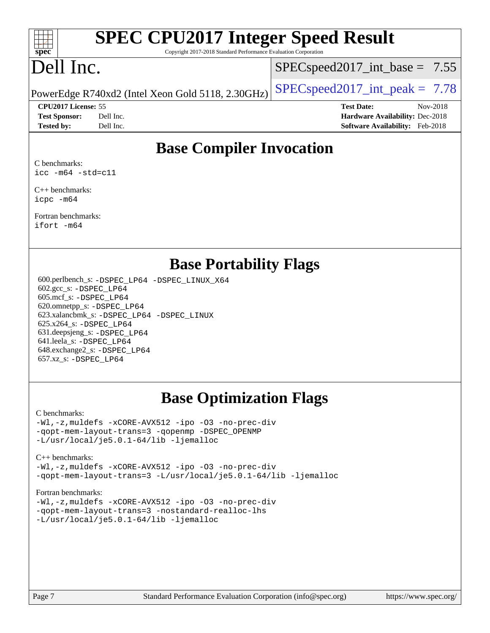

# **[SPEC CPU2017 Integer Speed Result](http://www.spec.org/auto/cpu2017/Docs/result-fields.html#SPECCPU2017IntegerSpeedResult)**

Copyright 2017-2018 Standard Performance Evaluation Corporation

# Dell Inc.

 $SPECspeed2017\_int\_base = 7.55$ 

PowerEdge R740xd2 (Intel Xeon Gold 5118, 2.30GHz)  $\left|$  [SPECspeed2017\\_int\\_peak =](http://www.spec.org/auto/cpu2017/Docs/result-fields.html#SPECspeed2017intpeak) 7.78

**[CPU2017 License:](http://www.spec.org/auto/cpu2017/Docs/result-fields.html#CPU2017License)** 55 **[Test Date:](http://www.spec.org/auto/cpu2017/Docs/result-fields.html#TestDate)** Nov-2018 **[Test Sponsor:](http://www.spec.org/auto/cpu2017/Docs/result-fields.html#TestSponsor)** Dell Inc. **[Hardware Availability:](http://www.spec.org/auto/cpu2017/Docs/result-fields.html#HardwareAvailability)** Dec-2018 **[Tested by:](http://www.spec.org/auto/cpu2017/Docs/result-fields.html#Testedby)** Dell Inc. **[Software Availability:](http://www.spec.org/auto/cpu2017/Docs/result-fields.html#SoftwareAvailability)** Feb-2018

## **[Base Compiler Invocation](http://www.spec.org/auto/cpu2017/Docs/result-fields.html#BaseCompilerInvocation)**

[C benchmarks:](http://www.spec.org/auto/cpu2017/Docs/result-fields.html#Cbenchmarks) [icc -m64 -std=c11](http://www.spec.org/cpu2017/results/res2018q4/cpu2017-20181210-10189.flags.html#user_CCbase_intel_icc_64bit_c11_33ee0cdaae7deeeab2a9725423ba97205ce30f63b9926c2519791662299b76a0318f32ddfffdc46587804de3178b4f9328c46fa7c2b0cd779d7a61945c91cd35)

[C++ benchmarks:](http://www.spec.org/auto/cpu2017/Docs/result-fields.html#CXXbenchmarks) [icpc -m64](http://www.spec.org/cpu2017/results/res2018q4/cpu2017-20181210-10189.flags.html#user_CXXbase_intel_icpc_64bit_4ecb2543ae3f1412ef961e0650ca070fec7b7afdcd6ed48761b84423119d1bf6bdf5cad15b44d48e7256388bc77273b966e5eb805aefd121eb22e9299b2ec9d9)

[Fortran benchmarks](http://www.spec.org/auto/cpu2017/Docs/result-fields.html#Fortranbenchmarks): [ifort -m64](http://www.spec.org/cpu2017/results/res2018q4/cpu2017-20181210-10189.flags.html#user_FCbase_intel_ifort_64bit_24f2bb282fbaeffd6157abe4f878425411749daecae9a33200eee2bee2fe76f3b89351d69a8130dd5949958ce389cf37ff59a95e7a40d588e8d3a57e0c3fd751)

### **[Base Portability Flags](http://www.spec.org/auto/cpu2017/Docs/result-fields.html#BasePortabilityFlags)**

 600.perlbench\_s: [-DSPEC\\_LP64](http://www.spec.org/cpu2017/results/res2018q4/cpu2017-20181210-10189.flags.html#b600.perlbench_s_basePORTABILITY_DSPEC_LP64) [-DSPEC\\_LINUX\\_X64](http://www.spec.org/cpu2017/results/res2018q4/cpu2017-20181210-10189.flags.html#b600.perlbench_s_baseCPORTABILITY_DSPEC_LINUX_X64) 602.gcc\_s: [-DSPEC\\_LP64](http://www.spec.org/cpu2017/results/res2018q4/cpu2017-20181210-10189.flags.html#suite_basePORTABILITY602_gcc_s_DSPEC_LP64) 605.mcf\_s: [-DSPEC\\_LP64](http://www.spec.org/cpu2017/results/res2018q4/cpu2017-20181210-10189.flags.html#suite_basePORTABILITY605_mcf_s_DSPEC_LP64) 620.omnetpp\_s: [-DSPEC\\_LP64](http://www.spec.org/cpu2017/results/res2018q4/cpu2017-20181210-10189.flags.html#suite_basePORTABILITY620_omnetpp_s_DSPEC_LP64) 623.xalancbmk\_s: [-DSPEC\\_LP64](http://www.spec.org/cpu2017/results/res2018q4/cpu2017-20181210-10189.flags.html#suite_basePORTABILITY623_xalancbmk_s_DSPEC_LP64) [-DSPEC\\_LINUX](http://www.spec.org/cpu2017/results/res2018q4/cpu2017-20181210-10189.flags.html#b623.xalancbmk_s_baseCXXPORTABILITY_DSPEC_LINUX) 625.x264\_s: [-DSPEC\\_LP64](http://www.spec.org/cpu2017/results/res2018q4/cpu2017-20181210-10189.flags.html#suite_basePORTABILITY625_x264_s_DSPEC_LP64) 631.deepsjeng\_s: [-DSPEC\\_LP64](http://www.spec.org/cpu2017/results/res2018q4/cpu2017-20181210-10189.flags.html#suite_basePORTABILITY631_deepsjeng_s_DSPEC_LP64) 641.leela\_s: [-DSPEC\\_LP64](http://www.spec.org/cpu2017/results/res2018q4/cpu2017-20181210-10189.flags.html#suite_basePORTABILITY641_leela_s_DSPEC_LP64) 648.exchange2\_s: [-DSPEC\\_LP64](http://www.spec.org/cpu2017/results/res2018q4/cpu2017-20181210-10189.flags.html#suite_basePORTABILITY648_exchange2_s_DSPEC_LP64) 657.xz\_s: [-DSPEC\\_LP64](http://www.spec.org/cpu2017/results/res2018q4/cpu2017-20181210-10189.flags.html#suite_basePORTABILITY657_xz_s_DSPEC_LP64)

## **[Base Optimization Flags](http://www.spec.org/auto/cpu2017/Docs/result-fields.html#BaseOptimizationFlags)**

#### [C benchmarks](http://www.spec.org/auto/cpu2017/Docs/result-fields.html#Cbenchmarks):

[-Wl,-z,muldefs](http://www.spec.org/cpu2017/results/res2018q4/cpu2017-20181210-10189.flags.html#user_CCbase_link_force_multiple1_b4cbdb97b34bdee9ceefcfe54f4c8ea74255f0b02a4b23e853cdb0e18eb4525ac79b5a88067c842dd0ee6996c24547a27a4b99331201badda8798ef8a743f577) [-xCORE-AVX512](http://www.spec.org/cpu2017/results/res2018q4/cpu2017-20181210-10189.flags.html#user_CCbase_f-xCORE-AVX512) [-ipo](http://www.spec.org/cpu2017/results/res2018q4/cpu2017-20181210-10189.flags.html#user_CCbase_f-ipo) [-O3](http://www.spec.org/cpu2017/results/res2018q4/cpu2017-20181210-10189.flags.html#user_CCbase_f-O3) [-no-prec-div](http://www.spec.org/cpu2017/results/res2018q4/cpu2017-20181210-10189.flags.html#user_CCbase_f-no-prec-div) [-qopt-mem-layout-trans=3](http://www.spec.org/cpu2017/results/res2018q4/cpu2017-20181210-10189.flags.html#user_CCbase_f-qopt-mem-layout-trans_de80db37974c74b1f0e20d883f0b675c88c3b01e9d123adea9b28688d64333345fb62bc4a798493513fdb68f60282f9a726aa07f478b2f7113531aecce732043) [-qopenmp](http://www.spec.org/cpu2017/results/res2018q4/cpu2017-20181210-10189.flags.html#user_CCbase_qopenmp_16be0c44f24f464004c6784a7acb94aca937f053568ce72f94b139a11c7c168634a55f6653758ddd83bcf7b8463e8028bb0b48b77bcddc6b78d5d95bb1df2967) [-DSPEC\\_OPENMP](http://www.spec.org/cpu2017/results/res2018q4/cpu2017-20181210-10189.flags.html#suite_CCbase_DSPEC_OPENMP) [-L/usr/local/je5.0.1-64/lib](http://www.spec.org/cpu2017/results/res2018q4/cpu2017-20181210-10189.flags.html#user_CCbase_jemalloc_link_path64_4b10a636b7bce113509b17f3bd0d6226c5fb2346b9178c2d0232c14f04ab830f976640479e5c33dc2bcbbdad86ecfb6634cbbd4418746f06f368b512fced5394) [-ljemalloc](http://www.spec.org/cpu2017/results/res2018q4/cpu2017-20181210-10189.flags.html#user_CCbase_jemalloc_link_lib_d1249b907c500fa1c0672f44f562e3d0f79738ae9e3c4a9c376d49f265a04b9c99b167ecedbf6711b3085be911c67ff61f150a17b3472be731631ba4d0471706)

#### [C++ benchmarks:](http://www.spec.org/auto/cpu2017/Docs/result-fields.html#CXXbenchmarks) [-Wl,-z,muldefs](http://www.spec.org/cpu2017/results/res2018q4/cpu2017-20181210-10189.flags.html#user_CXXbase_link_force_multiple1_b4cbdb97b34bdee9ceefcfe54f4c8ea74255f0b02a4b23e853cdb0e18eb4525ac79b5a88067c842dd0ee6996c24547a27a4b99331201badda8798ef8a743f577) [-xCORE-AVX512](http://www.spec.org/cpu2017/results/res2018q4/cpu2017-20181210-10189.flags.html#user_CXXbase_f-xCORE-AVX512) [-ipo](http://www.spec.org/cpu2017/results/res2018q4/cpu2017-20181210-10189.flags.html#user_CXXbase_f-ipo) [-O3](http://www.spec.org/cpu2017/results/res2018q4/cpu2017-20181210-10189.flags.html#user_CXXbase_f-O3) [-no-prec-div](http://www.spec.org/cpu2017/results/res2018q4/cpu2017-20181210-10189.flags.html#user_CXXbase_f-no-prec-div)

[-qopt-mem-layout-trans=3](http://www.spec.org/cpu2017/results/res2018q4/cpu2017-20181210-10189.flags.html#user_CXXbase_f-qopt-mem-layout-trans_de80db37974c74b1f0e20d883f0b675c88c3b01e9d123adea9b28688d64333345fb62bc4a798493513fdb68f60282f9a726aa07f478b2f7113531aecce732043) [-L/usr/local/je5.0.1-64/lib](http://www.spec.org/cpu2017/results/res2018q4/cpu2017-20181210-10189.flags.html#user_CXXbase_jemalloc_link_path64_4b10a636b7bce113509b17f3bd0d6226c5fb2346b9178c2d0232c14f04ab830f976640479e5c33dc2bcbbdad86ecfb6634cbbd4418746f06f368b512fced5394) [-ljemalloc](http://www.spec.org/cpu2017/results/res2018q4/cpu2017-20181210-10189.flags.html#user_CXXbase_jemalloc_link_lib_d1249b907c500fa1c0672f44f562e3d0f79738ae9e3c4a9c376d49f265a04b9c99b167ecedbf6711b3085be911c67ff61f150a17b3472be731631ba4d0471706)

### [Fortran benchmarks](http://www.spec.org/auto/cpu2017/Docs/result-fields.html#Fortranbenchmarks):

[-Wl,-z,muldefs](http://www.spec.org/cpu2017/results/res2018q4/cpu2017-20181210-10189.flags.html#user_FCbase_link_force_multiple1_b4cbdb97b34bdee9ceefcfe54f4c8ea74255f0b02a4b23e853cdb0e18eb4525ac79b5a88067c842dd0ee6996c24547a27a4b99331201badda8798ef8a743f577) [-xCORE-AVX512](http://www.spec.org/cpu2017/results/res2018q4/cpu2017-20181210-10189.flags.html#user_FCbase_f-xCORE-AVX512) [-ipo](http://www.spec.org/cpu2017/results/res2018q4/cpu2017-20181210-10189.flags.html#user_FCbase_f-ipo) [-O3](http://www.spec.org/cpu2017/results/res2018q4/cpu2017-20181210-10189.flags.html#user_FCbase_f-O3) [-no-prec-div](http://www.spec.org/cpu2017/results/res2018q4/cpu2017-20181210-10189.flags.html#user_FCbase_f-no-prec-div) [-qopt-mem-layout-trans=3](http://www.spec.org/cpu2017/results/res2018q4/cpu2017-20181210-10189.flags.html#user_FCbase_f-qopt-mem-layout-trans_de80db37974c74b1f0e20d883f0b675c88c3b01e9d123adea9b28688d64333345fb62bc4a798493513fdb68f60282f9a726aa07f478b2f7113531aecce732043) [-nostandard-realloc-lhs](http://www.spec.org/cpu2017/results/res2018q4/cpu2017-20181210-10189.flags.html#user_FCbase_f_2003_std_realloc_82b4557e90729c0f113870c07e44d33d6f5a304b4f63d4c15d2d0f1fab99f5daaed73bdb9275d9ae411527f28b936061aa8b9c8f2d63842963b95c9dd6426b8a) [-L/usr/local/je5.0.1-64/lib](http://www.spec.org/cpu2017/results/res2018q4/cpu2017-20181210-10189.flags.html#user_FCbase_jemalloc_link_path64_4b10a636b7bce113509b17f3bd0d6226c5fb2346b9178c2d0232c14f04ab830f976640479e5c33dc2bcbbdad86ecfb6634cbbd4418746f06f368b512fced5394) [-ljemalloc](http://www.spec.org/cpu2017/results/res2018q4/cpu2017-20181210-10189.flags.html#user_FCbase_jemalloc_link_lib_d1249b907c500fa1c0672f44f562e3d0f79738ae9e3c4a9c376d49f265a04b9c99b167ecedbf6711b3085be911c67ff61f150a17b3472be731631ba4d0471706)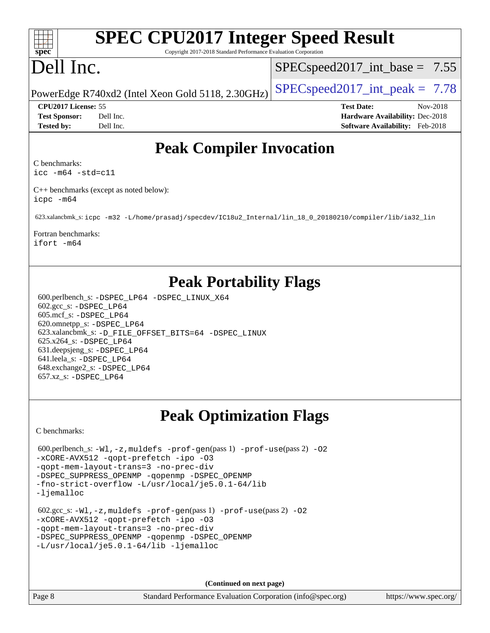### $+\ +$ **[spec](http://www.spec.org/)**

# **[SPEC CPU2017 Integer Speed Result](http://www.spec.org/auto/cpu2017/Docs/result-fields.html#SPECCPU2017IntegerSpeedResult)**

Copyright 2017-2018 Standard Performance Evaluation Corporation

# Dell Inc.

 $SPECspeed2017\_int\_base = 7.55$ 

PowerEdge R740xd2 (Intel Xeon Gold 5118, 2.30GHz)  $\left|$  [SPECspeed2017\\_int\\_peak =](http://www.spec.org/auto/cpu2017/Docs/result-fields.html#SPECspeed2017intpeak) 7.78

**[CPU2017 License:](http://www.spec.org/auto/cpu2017/Docs/result-fields.html#CPU2017License)** 55 **[Test Date:](http://www.spec.org/auto/cpu2017/Docs/result-fields.html#TestDate)** Nov-2018 **[Test Sponsor:](http://www.spec.org/auto/cpu2017/Docs/result-fields.html#TestSponsor)** Dell Inc. **[Hardware Availability:](http://www.spec.org/auto/cpu2017/Docs/result-fields.html#HardwareAvailability)** Dec-2018 **[Tested by:](http://www.spec.org/auto/cpu2017/Docs/result-fields.html#Testedby)** Dell Inc. **[Software Availability:](http://www.spec.org/auto/cpu2017/Docs/result-fields.html#SoftwareAvailability)** Feb-2018

# **[Peak Compiler Invocation](http://www.spec.org/auto/cpu2017/Docs/result-fields.html#PeakCompilerInvocation)**

[C benchmarks](http://www.spec.org/auto/cpu2017/Docs/result-fields.html#Cbenchmarks):

[icc -m64 -std=c11](http://www.spec.org/cpu2017/results/res2018q4/cpu2017-20181210-10189.flags.html#user_CCpeak_intel_icc_64bit_c11_33ee0cdaae7deeeab2a9725423ba97205ce30f63b9926c2519791662299b76a0318f32ddfffdc46587804de3178b4f9328c46fa7c2b0cd779d7a61945c91cd35)

[C++ benchmarks \(except as noted below\)](http://www.spec.org/auto/cpu2017/Docs/result-fields.html#CXXbenchmarksexceptasnotedbelow): [icpc -m64](http://www.spec.org/cpu2017/results/res2018q4/cpu2017-20181210-10189.flags.html#user_CXXpeak_intel_icpc_64bit_4ecb2543ae3f1412ef961e0650ca070fec7b7afdcd6ed48761b84423119d1bf6bdf5cad15b44d48e7256388bc77273b966e5eb805aefd121eb22e9299b2ec9d9)

623.xalancbmk\_s: [icpc -m32 -L/home/prasadj/specdev/IC18u2\\_Internal/lin\\_18\\_0\\_20180210/compiler/lib/ia32\\_lin](http://www.spec.org/cpu2017/results/res2018q4/cpu2017-20181210-10189.flags.html#user_peakCXXLD623_xalancbmk_s_intel_icpc_c6d030cd79af6ea7d6fb64c57e8fe7ae8fe0b96fc5a3b3f4a10e3273b3d7fa9decd8263f6330cef23f751cb093a69fae84a2bf4c243500a8eed069248128076f)

[Fortran benchmarks](http://www.spec.org/auto/cpu2017/Docs/result-fields.html#Fortranbenchmarks): [ifort -m64](http://www.spec.org/cpu2017/results/res2018q4/cpu2017-20181210-10189.flags.html#user_FCpeak_intel_ifort_64bit_24f2bb282fbaeffd6157abe4f878425411749daecae9a33200eee2bee2fe76f3b89351d69a8130dd5949958ce389cf37ff59a95e7a40d588e8d3a57e0c3fd751)

# **[Peak Portability Flags](http://www.spec.org/auto/cpu2017/Docs/result-fields.html#PeakPortabilityFlags)**

 600.perlbench\_s: [-DSPEC\\_LP64](http://www.spec.org/cpu2017/results/res2018q4/cpu2017-20181210-10189.flags.html#b600.perlbench_s_peakPORTABILITY_DSPEC_LP64) [-DSPEC\\_LINUX\\_X64](http://www.spec.org/cpu2017/results/res2018q4/cpu2017-20181210-10189.flags.html#b600.perlbench_s_peakCPORTABILITY_DSPEC_LINUX_X64) 602.gcc\_s: [-DSPEC\\_LP64](http://www.spec.org/cpu2017/results/res2018q4/cpu2017-20181210-10189.flags.html#suite_peakPORTABILITY602_gcc_s_DSPEC_LP64) 605.mcf\_s: [-DSPEC\\_LP64](http://www.spec.org/cpu2017/results/res2018q4/cpu2017-20181210-10189.flags.html#suite_peakPORTABILITY605_mcf_s_DSPEC_LP64) 620.omnetpp\_s: [-DSPEC\\_LP64](http://www.spec.org/cpu2017/results/res2018q4/cpu2017-20181210-10189.flags.html#suite_peakPORTABILITY620_omnetpp_s_DSPEC_LP64) 623.xalancbmk\_s: [-D\\_FILE\\_OFFSET\\_BITS=64](http://www.spec.org/cpu2017/results/res2018q4/cpu2017-20181210-10189.flags.html#user_peakPORTABILITY623_xalancbmk_s_file_offset_bits_64_5ae949a99b284ddf4e95728d47cb0843d81b2eb0e18bdfe74bbf0f61d0b064f4bda2f10ea5eb90e1dcab0e84dbc592acfc5018bc955c18609f94ddb8d550002c) [-DSPEC\\_LINUX](http://www.spec.org/cpu2017/results/res2018q4/cpu2017-20181210-10189.flags.html#b623.xalancbmk_s_peakCXXPORTABILITY_DSPEC_LINUX) 625.x264\_s: [-DSPEC\\_LP64](http://www.spec.org/cpu2017/results/res2018q4/cpu2017-20181210-10189.flags.html#suite_peakPORTABILITY625_x264_s_DSPEC_LP64) 631.deepsjeng\_s: [-DSPEC\\_LP64](http://www.spec.org/cpu2017/results/res2018q4/cpu2017-20181210-10189.flags.html#suite_peakPORTABILITY631_deepsjeng_s_DSPEC_LP64) 641.leela\_s: [-DSPEC\\_LP64](http://www.spec.org/cpu2017/results/res2018q4/cpu2017-20181210-10189.flags.html#suite_peakPORTABILITY641_leela_s_DSPEC_LP64) 648.exchange2\_s: [-DSPEC\\_LP64](http://www.spec.org/cpu2017/results/res2018q4/cpu2017-20181210-10189.flags.html#suite_peakPORTABILITY648_exchange2_s_DSPEC_LP64) 657.xz\_s: [-DSPEC\\_LP64](http://www.spec.org/cpu2017/results/res2018q4/cpu2017-20181210-10189.flags.html#suite_peakPORTABILITY657_xz_s_DSPEC_LP64)

# **[Peak Optimization Flags](http://www.spec.org/auto/cpu2017/Docs/result-fields.html#PeakOptimizationFlags)**

[C benchmarks](http://www.spec.org/auto/cpu2017/Docs/result-fields.html#Cbenchmarks):

```
600.perlbench_s: -W1, -z, muldefs -prof-gen(pass 1)-prof-use(pass 2) -02
-xCORE-AVX512 -qopt-prefetch -ipo -O3
-qopt-mem-layout-trans=3 -no-prec-div
-DSPEC_SUPPRESS_OPENMP -qopenmp -DSPEC_OPENMP
-fno-strict-overflow -L/usr/local/je5.0.1-64/lib
-ljemalloc
 602.gcc_s: -Wl,-z,muldefs -prof-gen(pass 1) -prof-use(pass 2) -O2
-xCORE-AVX512 -qopt-prefetch -ipo -O3
-qopt-mem-layout-trans=3 -no-prec-div
-DSPEC_SUPPRESS_OPENMP -qopenmp -DSPEC_OPENMP
-L/usr/local/je5.0.1-64/lib -ljemalloc
```
**(Continued on next page)**